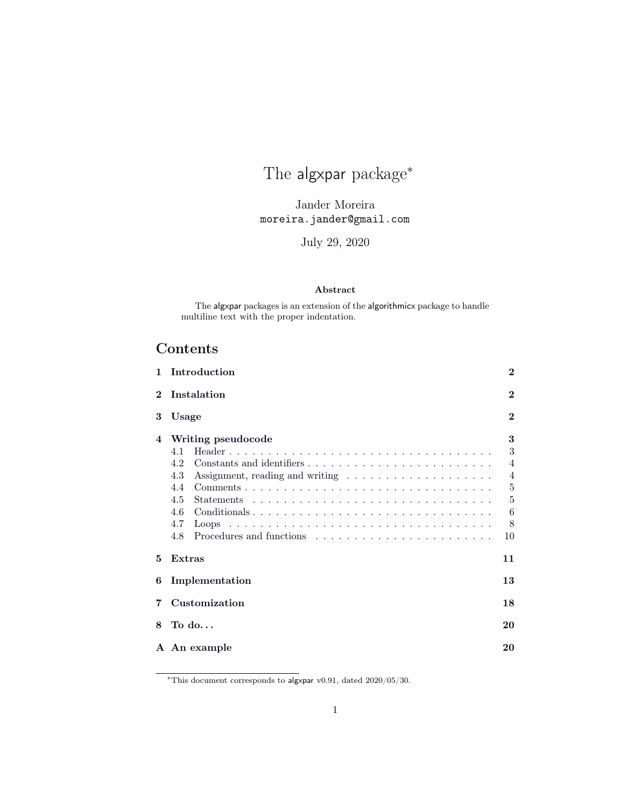# The algxpar package<sup>\*</sup>

Jander Moreira moreira.jander@gmail.com

July 29, 2020

#### Abstract

The algxpar packages is an extension of the algorithmicx package to handle multiline text with the proper indentation.

# Contents

| 1                | Introduction                                                                                                                                                                                                               |                                                                      |  |  |  |  |  |  |  |  |  |  |  |  |  |
|------------------|----------------------------------------------------------------------------------------------------------------------------------------------------------------------------------------------------------------------------|----------------------------------------------------------------------|--|--|--|--|--|--|--|--|--|--|--|--|--|
| $\mathbf 2$      | Instalation                                                                                                                                                                                                                | $\bf{2}$                                                             |  |  |  |  |  |  |  |  |  |  |  |  |  |
| 3                | Usage                                                                                                                                                                                                                      |                                                                      |  |  |  |  |  |  |  |  |  |  |  |  |  |
| $\boldsymbol{4}$ | Writing pseudocode<br>4.1<br>4.2<br>4.3<br>Assignment, reading and writing $\dots \dots \dots \dots \dots \dots \dots$<br>4.4<br>4.5<br><b>Statements</b><br>Conditionals<br>4.6<br>4.7<br>Procedures and functions<br>4.8 | 3<br>3<br>$\overline{4}$<br>$\overline{4}$<br>5<br>5<br>6<br>8<br>10 |  |  |  |  |  |  |  |  |  |  |  |  |  |
| 5                | Extras                                                                                                                                                                                                                     | 11                                                                   |  |  |  |  |  |  |  |  |  |  |  |  |  |
| 6                | Implementation                                                                                                                                                                                                             | 13                                                                   |  |  |  |  |  |  |  |  |  |  |  |  |  |
| 7                | Customization                                                                                                                                                                                                              | 18                                                                   |  |  |  |  |  |  |  |  |  |  |  |  |  |
| 8                | To do                                                                                                                                                                                                                      | 20                                                                   |  |  |  |  |  |  |  |  |  |  |  |  |  |
|                  | A An example                                                                                                                                                                                                               | 20                                                                   |  |  |  |  |  |  |  |  |  |  |  |  |  |

 $*$ This document corresponds to algxpar v0.91, dated  $2020/05/30$ .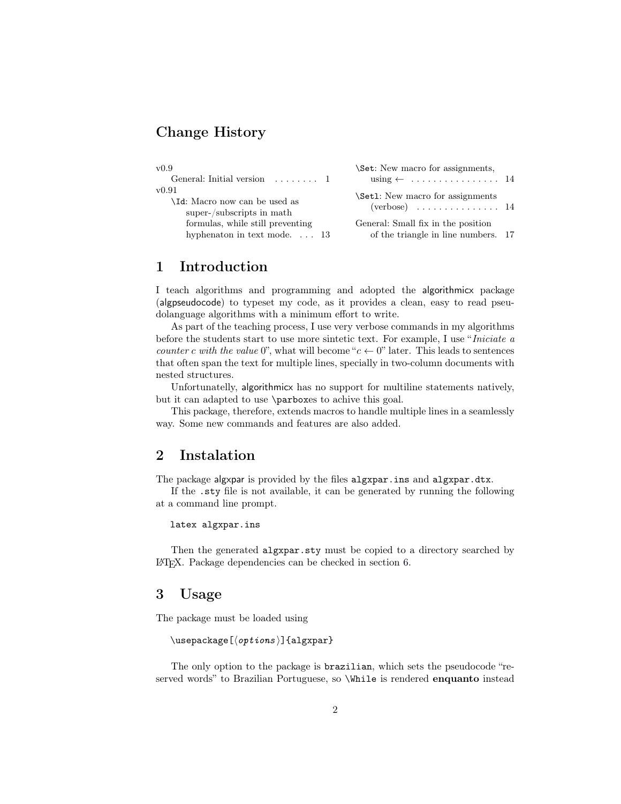# Change History

| v0.9<br>General: Initial version $\dots \dots 1$                         | \Set: New macro for assignments,<br>using $\leftarrow$ 14                                  |  |
|--------------------------------------------------------------------------|--------------------------------------------------------------------------------------------|--|
| v0.91<br>\Id: Macro now can be used as<br>super-/subscripts in math      | \Set1: New macro for assignments<br>$($ verbose $) \dots \dots \dots \dots \dots \dots 14$ |  |
| formulas, while still preventing<br>hyphenaton in text mode. $\ldots$ 13 | General: Small fix in the position<br>of the triangle in line numbers. 17                  |  |

## <span id="page-1-0"></span>1 Introduction

I teach algorithms and programming and adopted the algorithmicx package (algpseudocode) to typeset my code, as it provides a clean, easy to read pseudolanguage algorithms with a minimum effort to write.

As part of the teaching process, I use very verbose commands in my algorithms before the students start to use more sintetic text. For example, I use "Iniciate a counter c with the value 0", what will become " $c \leftarrow 0$ " later. This leads to sentences that often span the text for multiple lines, specially in two-column documents with nested structures.

Unfortunatelly, algorithmicx has no support for multiline statements natively, but it can adapted to use \parboxes to achive this goal.

This package, therefore, extends macros to handle multiple lines in a seamlessly way. Some new commands and features are also added.

## <span id="page-1-1"></span>2 Instalation

The package algxpar is provided by the files algxpar.ins and algxpar.dtx.

If the .sty file is not available, it can be generated by running the following at a command line prompt.

```
latex algxpar.ins
```
Then the generated algxpar.sty must be copied to a directory searched by L<sup>A</sup>TEX. Package dependencies can be checked in section [6.](#page-12-0)

## <span id="page-1-2"></span>3 Usage

The package must be loaded using

```
\text{lagger} \usepackage [\{options }] {algxpar}
```
The only option to the package is brazilian, which sets the pseudocode "reserved words" to Brazilian Portuguese, so \While is rendered enquanto instead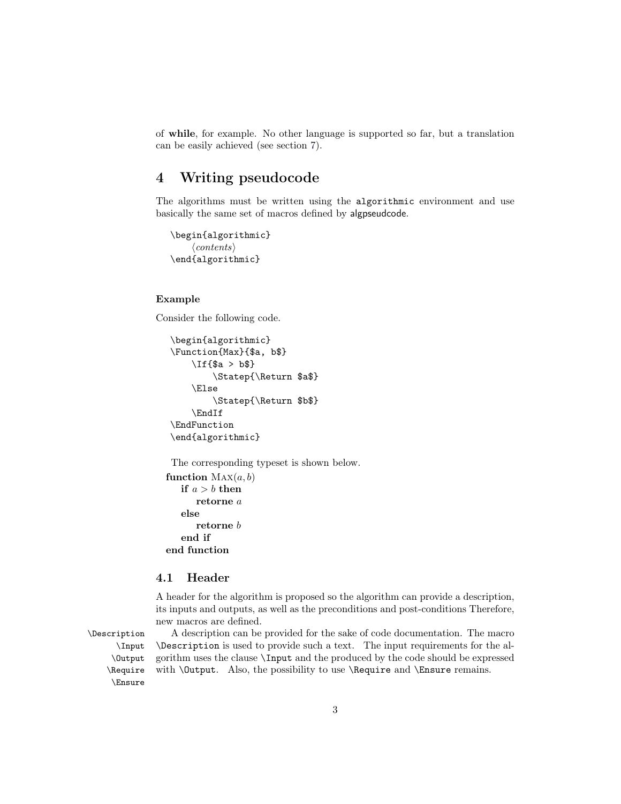of while, for example. No other language is supported so far, but a translation can be easily achieved (see section [7\)](#page-17-0).

# <span id="page-2-0"></span>4 Writing pseudocode

The algorithms must be written using the algorithmic environment and use basically the same set of macros defined by algpseudcode.

```
\begin{algorithmic}
     \langle contents \rangle\end{algorithmic}
```
#### Example

Consider the following code.

```
\begin{algorithmic}
\Function{Max}{$a, b$}
    \If{$a > b$}
        \Statep{\Return $a$}
    \Else
        \Statep{\Return $b$}
    \EndIf
\EndFunction
\end{algorithmic}
```
The corresponding typeset is shown below.

```
function \text{MAX}(a, b)if a > b then
      retorne a
   else
      retorne b
   end if
end function
```
#### <span id="page-2-1"></span>4.1 Header

A header for the algorithm is proposed so the algorithm can provide a description, its inputs and outputs, as well as the preconditions and post-conditions Therefore, new macros are defined.

\Ensure

\Description A description can be provided for the sake of code documentation. The macro \Input \Description is used to provide such a text. The input requirements for the al- \Output gorithm uses the clause \Input and the produced by the code should be expressed \Require with \Output. Also, the possibility to use \Require and \Ensure remains.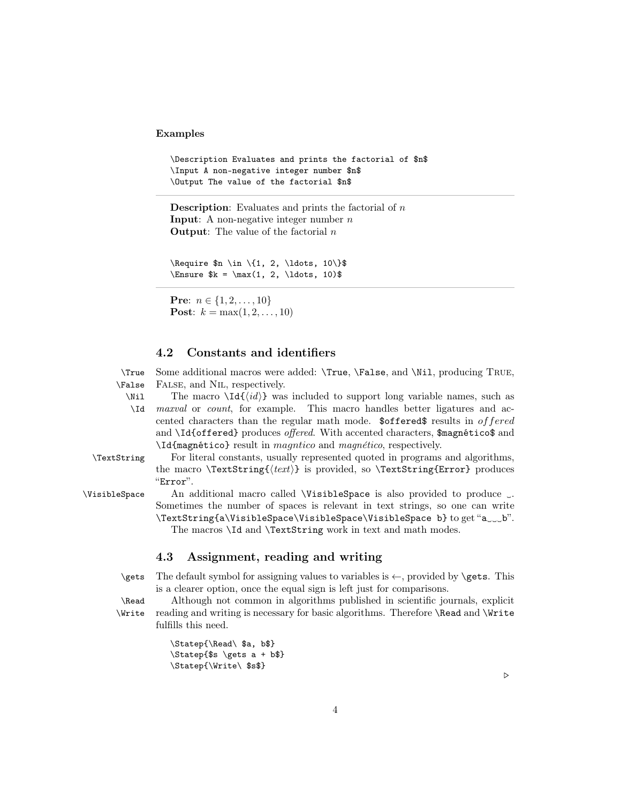#### Examples

```
\Description Evaluates and prints the factorial of $n$
\Input A non-negative integer number $n$
\Output The value of the factorial $n$
```
**Description:** Evaluates and prints the factorial of  $n$ **Input:** A non-negative integer number  $n$ **Output:** The value of the factorial  $n$ 

 $\begin{bmatrix} \text{Require $n \in \{1, 2, \ldots, 10\} \$  $\times$  \$k =  $\max(1, 2, \ldots, 10)$ 

**Pre:**  $n \in \{1, 2, \ldots, 10\}$ **Post:**  $k = \max(1, 2, ..., 10)$ 

### <span id="page-3-0"></span>4.2 Constants and identifiers

\True Some additional macros were added: \True, \False, and \Nil, producing True, \False FALSE, and NIL, respectively.

\Nil

The macro  $\Id{id}$  was included to support long variable names, such as \Id maxval or count, for example. This macro handles better ligatures and accented characters than the regular math mode. \$offered\$ results in offered and \Id{offered} produces offered. With accented characters, \$magnético\$ and \Id{magnético} result in magntico and magnético, respectively.

\TextString For literal constants, usually represented quoted in programs and algorithms, the macro  $\TextString({\text{text}})$  is provided, so  $\TextString{Error}$  produces "Error".

\VisibleSpace An additional macro called \VisibleSpace is also provided to produce ␣. Sometimes the number of spaces is relevant in text strings, so one can write \TextString{a\VisibleSpace\VisibleSpace\VisibleSpace b} to get "a␣␣␣b". The macros \Id and \TextString work in text and math modes.

<span id="page-3-1"></span>4.3 Assignment, reading and writing

 $\text{Test}$  The default symbol for assigning values to variables is  $\leftarrow$ , provided by  $\text{test}$ . This is a clearer option, once the equal sign is left just for comparisons.

\Read Although not common in algorithms published in scientific journals, explicit \Write reading and writing is necessary for basic algorithms. Therefore \Read and \Write fulfills this need.

> \Statep{\Read\ \$a, b\$} \Statep{\$s \gets a + b\$} \Statep{\Write\ \$s\$}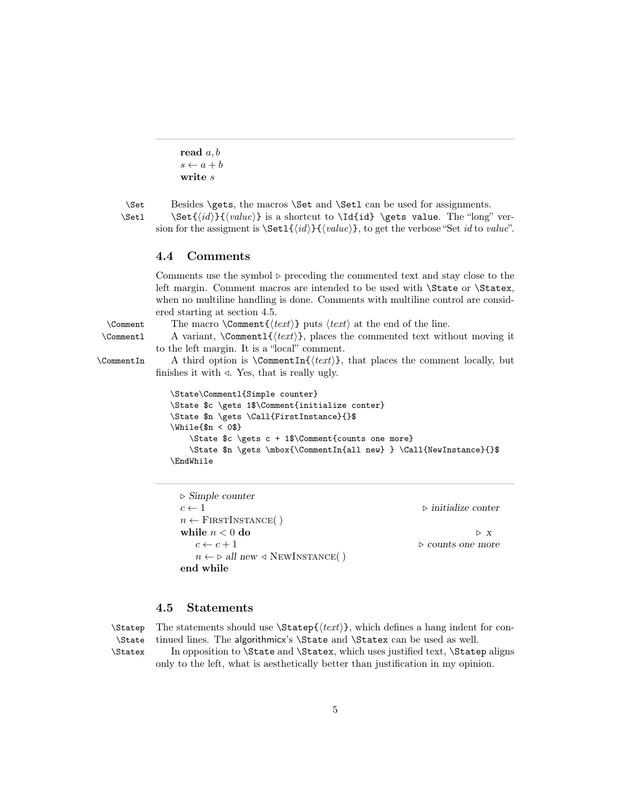```
read a, bs \leftarrow a + bwrite s
```
\Set Besides \gets, the macros \Set and \Set1 can be used for assignments.

 $\Set{id}{value}$  is a shortcut to  $Idid$  \gets value. The "long" version for the assigment is  $\Set{id}{\lbrace value \rbrace}$ , to get the verbose "Set id to value".

#### <span id="page-4-0"></span>4.4 Comments

finishes it with  $\triangleleft$ . Yes, that is really ugly.

Comments use the symbol ⊳ preceding the commented text and stay close to the left margin. Comment macros are intended to be used with \State or \Statex, when no multiline handling is done. Comments with multiline control are considered starting at section [4.5.](#page-4-1)

\Comment The macro \Comment { $\text{text}$ } puts  $\text{text}$  at the end of the line.  $\Gamma$  A variant,  $\Gamma\{\text{text}\}\$ , places the commented text without moving it

to the left margin. It is a "local" comment.  $\Gamma$  A third option is  $\Gamma_{\text{text}}$ , that places the comment locally, but

```
\State\Commentl{Simple counter}
\State $c \gets 1$\Comment{initialize conter}
\State $n \gets \Call{FirstInstance}{}$
\While{$n < 0$}
    \State $c \gets c + 1$\Comment{counts one more}
    \State $n \gets \mbox{\CommentIn{all new} } \Call{NewInstance}{}$
\EndWhile
```
⊲ Simple counter  $c \leftarrow 1$   $\triangleright$  initialize conter  $n \leftarrow$  FIRSTINSTANCE() while  $n < 0$  do  $\triangleright$  x  $c \leftarrow c + 1$   $\triangleright$  counts one more  $n \leftarrow \triangleright$  all new  $\triangleleft$  NEWINSTANCE() end while

#### <span id="page-4-1"></span>4.5 Statements

```
\State
\Statex
```
 $\Theta \subset \Theta$  The statements should use  $\Theta \text{text}$ , which defines a hang indent for continued lines. The algorithmicx's \State and \Statex can be used as well.

In opposition to **\State** and **\Statex**, which uses justified text, **\Statep** aligns only to the left, what is aesthetically better than justification in my opinion.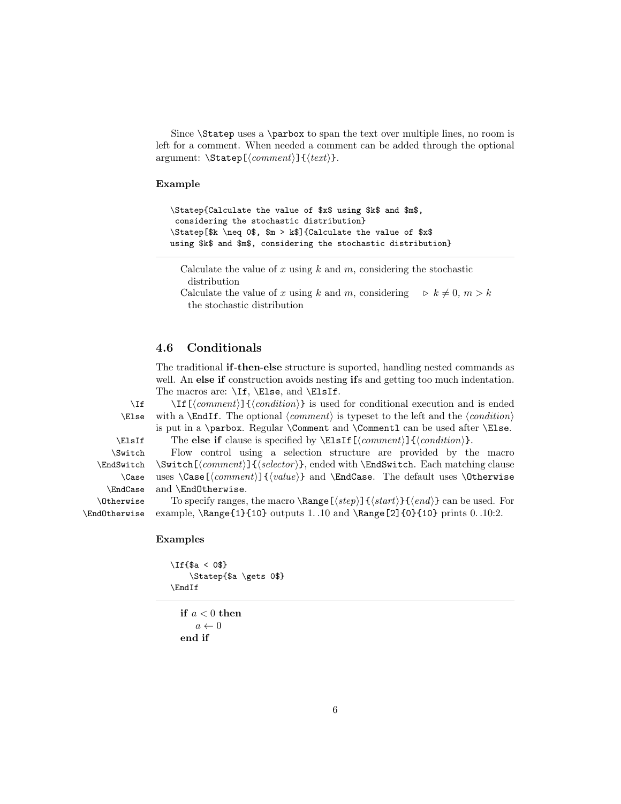Since \Statep uses a \parbox to span the text over multiple lines, no room is left for a comment. When needed a comment can be added through the optional argument:  $\Statep[\langle comment\rangle]{\{\text{text}\}.$ 

#### Example

```
\Statep{Calculate the value of $x$ using $k$ and $m$,
considering the stochastic distribution}
\Statep[$k \neq 0$, $m > k$]{Calculate the value of $x$
using $k$ and $m$, considering the stochastic distribution}
```
Calculate the value of x using  $k$  and  $m$ , considering the stochastic distribution

Calculate the value of x using k and m, considering  $\Rightarrow k \neq 0, m > k$ the stochastic distribution

#### <span id="page-5-0"></span>4.6 Conditionals

The traditional if-then-else structure is suported, handling nested commands as well. An else if construction avoids nesting ifs and getting too much indentation. The macros are: \If, \Else, and \ElsIf.

 $\If \{\mathrm{domment}\} {\mathrm{condition}}\}$  is used for conditional execution and is ended  $\triangle E$ lse with a  $\End$ If. The optional  $\langle comment \rangle$  is typeset to the left and the  $\langle condition \rangle$ is put in a \parbox. Regular \Comment and \Commentl can be used after \Else.

\ElsIf The else if clause is specified by \ElsIf[ $\{comment\}$ ]{ $\{condition\}$ .

\Switch Flow control using a selection structure are provided by the macro  $\S$ witch $[\langle comment \rangle]{\langle selector \rangle}$ , ended with  $\End$ Switch. Each matching clause uses  $\Caas{comment}({value})$  and  $\EndCase$ . The default uses  $\Otherwise$ and \EndOtherwise.

To specify ranges, the macro  $\langle\langle\langle\langle\langle\rangle\rangle\rangle\langle\langle\langle\langle\langle\rangle\rangle\rangle\rangle\rangle\rangle)$  can be used. For example, \Range{1}{10} outputs 1. .10 and \Range[2]{0}{10} prints 0. .10:2.

#### Examples

```
\If{$a < 0$}
    \Statep{$a \gets 0$}
\EndIf
```
if  $a < 0$  then  $a \leftarrow 0$ end if

\EndSwitch \Case \EndCase \Otherwise

\EndOtherwise

6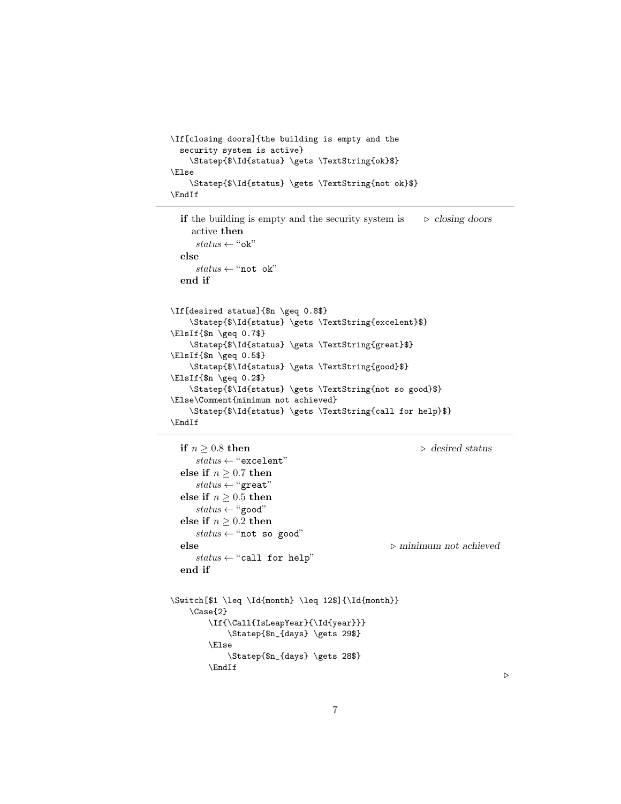```
\If[closing doors]{the building is empty and the
  security system is active}
   \Statep{$\Id{status} \gets \TextString{ok}$}
\Else
   \Statep{$\Id{status} \gets \TextString{not ok}$}
\EndIf
```

```
if the building is empty and the security system is
    active then
                                                        ⊲ closing doors
     status \leftarrow "ok"else
     status \leftarrow \text{``not ok''}end if
\If[desired status]{$n \geq 0.8$}
    \Statep{$\Id{status} \gets \TextString{excelent}$}
\ElsIf{$n \geq 0.7$}
    \Statep{$\Id{status} \gets \TextString{great}$}
\ElsIf{$n \geq 0.5$}
    \Statep{$\Id{status} \gets \TextString{good}$}
\ElsIf{$n \geq 0.2$}
    \Statep{$\Id{status} \gets \TextString{not so good}$}
\Else\Comment{minimum not achieved}
    \Statep{$\Id{status} \gets \TextString{call for help}$}
\EndIf
```

```
if n > 0.8 then \triangleright desired status
     status \leftarrow "excelent"else if n \geq 0.7 then
     status \leftarrow "great"else if n \geq 0.5 then
     status \leftarrow "good"else if n \geq 0.2 then
     status \leftarrow "not so good"else ⊲ minimum not achieved
     status \leftarrow "call for help"end if
\Switch[$1 \leq \Id{month} \leq 12$]{\Id{month}}
   \Case{2}
       \If{\Call{IsLeapYear}{\Id{year}}}
           \Statep{$n_{days} \gets 29$}
        \Else
           \Statep{$n_{days} \gets 28$}
       \EndIf
```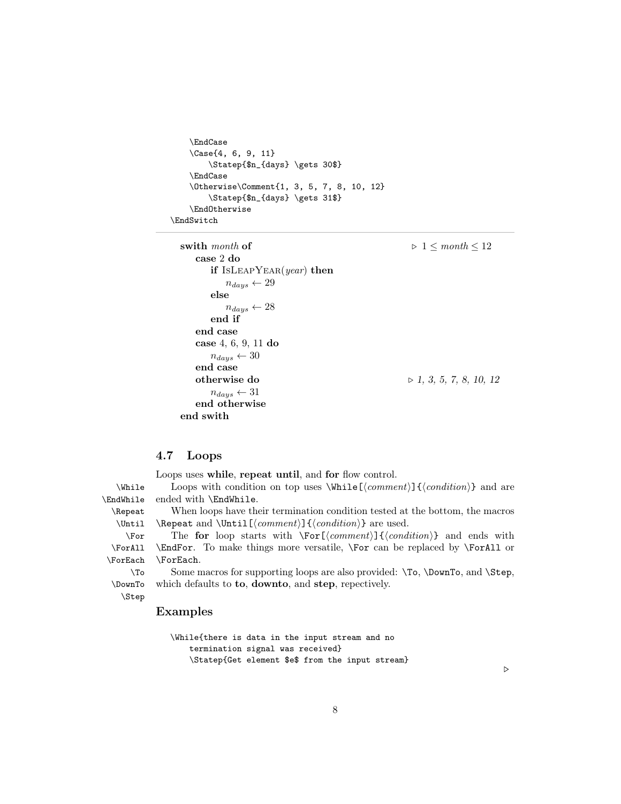```
\EndCase
    \Case{4, 6, 9, 11}
        \Statep{$n_{days} \gets 30$}
    \EndCase
    \Otherwise\Comment{1, 3, 5, 7, 8, 10, 12}
        \Statep{$n_{days} \gets 31$}
    \EndOtherwise
\EndSwitch
```

```
swith month of \rho 1 \leq month \leq 12
   case 2 do
      if ISLEAPYEAR(year) then
         n_{days} \leftarrow 29else
         n_{days} \leftarrow 28end if
   end case
   case 4, 6, 9, 11 do
      n_{daus} \leftarrow 30end case
   otherwise do ⊳ 1, 3, 5, 7, 8, 10, 12
      n_{days} \leftarrow 31end otherwise
end swith
```
### <span id="page-7-0"></span>4.7 Loops

Loops uses while, repeat until, and for flow control.

\While Loops with condition on top uses \While  $[\langle comment \rangle]{\langle condition \rangle}$  and are \EndWhile ended with \EndWhile.

\Repeat When loops have their termination condition tested at the bottom, the macros \Until \Repeat and \Until  $\mathrm{bound}\}$  (*condition*)} are used.

\For The for loop starts with  $\For[\*comment*] {\*condition*} and ends with$ \ForAll \ForEach \EndFor. To make things more versatile, \For can be replaced by \ForAll or \ForEach.

\To Some macros for supporting loops are also provided: \To, \DownTo, and \Step, which defaults to **to**, **downto**, and **step**, repectively.

```
\DownTo
  \Step
```
#### Examples

```
\While{there is data in the input stream and no
    termination signal was received}
    \Statep{Get element $e$ from the input stream}
```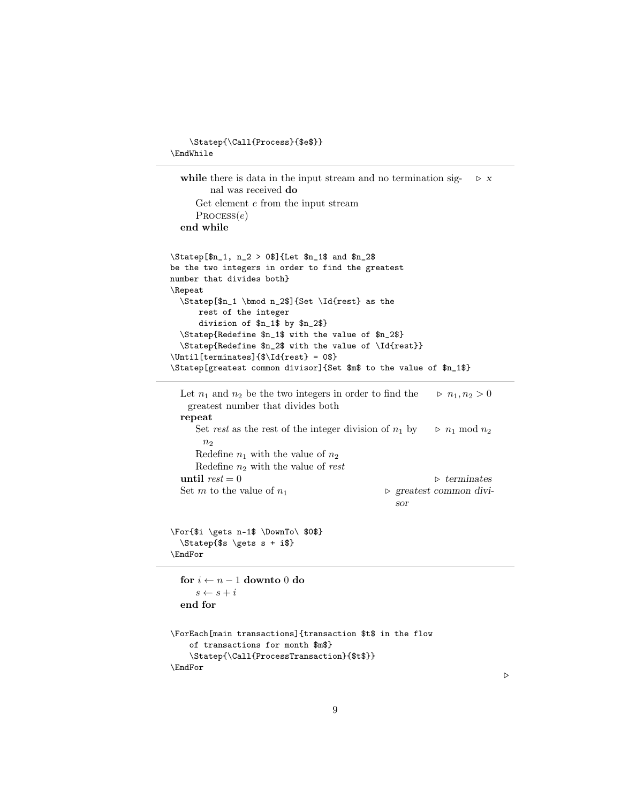```
\Statep{\Call{Process}{$e$}}
\EndWhile
  while there is data in the input stream and no termination sig-
        nal was received do
                                                                   \triangleright \, XGet element e from the input stream
     PROCESS(e)end while
\Statep[$n_1, n_2 > 0$]{Let $n_1$ and $n_2$
be the two integers in order to find the greatest
number that divides both}
\Repeat
  \Statep[$n_1 \bmod n_2$]{Set \Id{rest} as the
      rest of the integer
      division of $n_1$ by $n_2$}
  \Statep{Redefine $n_1$ with the value of $n_2$}
  \Statep{Redefine $n_2$ with the value of \Id{rest}}
\Until[terminates]{\[Id{rest} = 0
\Statep[greatest common divisor]{Set $m$ to the value of $n_1$}
  Let n_1 and n_2 be the two integers in order to find the
   greatest number that divides both
                                                          p_1, n_2 > 0repeat
     Set rest as the rest of the integer division of n_1 by
       n<sub>2</sub>\triangleright~n_1~\mathrm{mod}~n_2Redefine n_1 with the value of n_2Redefine n_2 with the value of rest
  until rest = 0 \triangleright terminates
  Set m to the value of n_1 ⊳ greatest common divi-
                                                 sor
\For{$i \gets n-1$ \DownTo\ $0$}
  \Statep{$s \gets s + i$}
\EndFor
  for i \leftarrow n-1 downto 0 do
     s \leftarrow s + iend for
\ForEach[main transactions]{transaction $t$ in the flow
    of transactions for month $m$}
    \Statep{\Call{ProcessTransaction}{$t$}}
\EndFor
```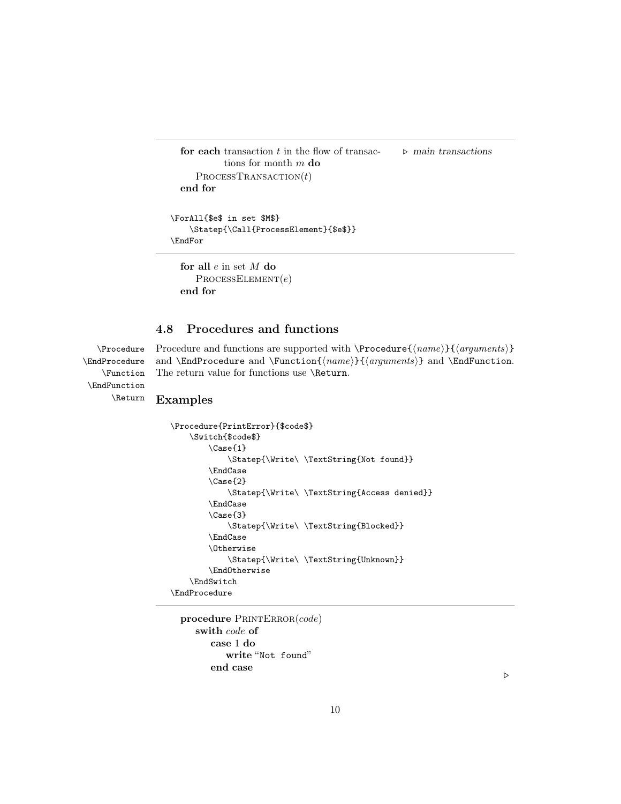```
for each transaction t in the flow of transac-
           tions for month m do
                                                 ⊲ main transactions
     PROCESSTRANSACTION(t)end for
\ForAll{$e$ in set $M$}
   \Statep{\Call{ProcessElement}{$e$}}
```
\EndFor

```
for all e in set M do
   PROCESSELEMENT(e)end for
```
## <span id="page-9-0"></span>4.8 Procedures and functions

\EndProcedure \Function \EndFunction \Return

\Procedure Procedure and functions are supported with \Procedure{ $\langle name\rangle$ }{\arguments}} and \EndProcedure and \Function{ $\langle$ name}}{\arguments}} and \EndFunction. The return value for functions use \Return.

#### Examples

```
\Procedure{PrintError}{$code$}
   \Switch{$code$}
        \Case{1}
            \Statep{\Write\ \TextString{Not found}}
        \EndCase
        \Case{2}
            \Statep{\Write\ \TextString{Access denied}}
        \EndCase
        \Case{3}
            \Statep{\Write\ \TextString{Blocked}}
        \EndCase
        \Otherwise
            \Statep{\Write\ \TextString{Unknown}}
        \EndOtherwise
   \EndSwitch
\EndProcedure
```
procedure PRINTERROR(code) swith code of case 1 do write "Not found" end case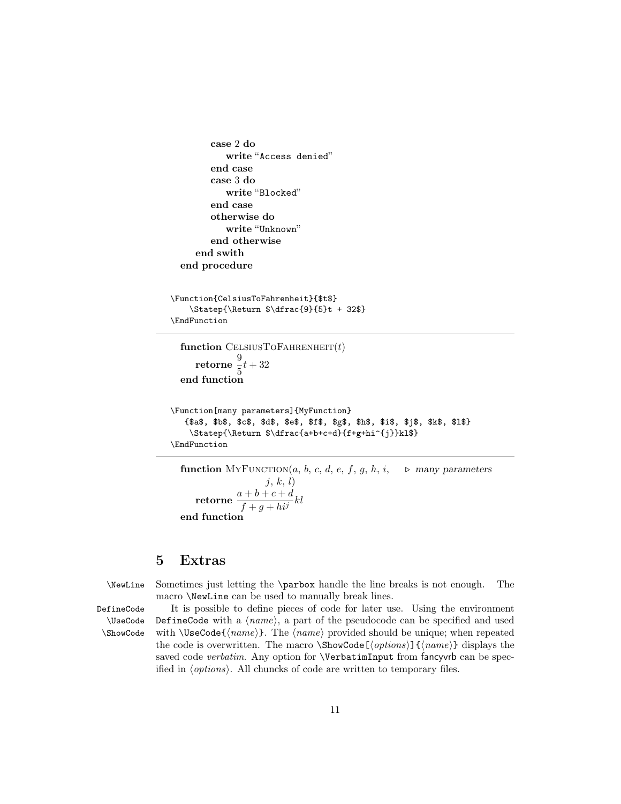```
case 2 do
           write "Access denied"
        end case
        case 3 do
           write "Blocked"
        end case
        otherwise do
           write "Unknown"
        end otherwise
     end swith
  end procedure
\Function{CelsiusToFahrenheit}{$t$}
   \Statep{\Return $\dfrac{9}{5}t + 32$}
\EndFunction
  function CELSIUSTOFAHRENHEIT(t)retorne \frac{9}{5}\frac{1}{5}t + 32end function
\Function[many parameters]{MyFunction}
   {$a$, $b$, $c$, $d$, $e$, $f$, $g$, $h$, $i$, $j$, $k$, $l$}
    \Statep{\Return $\dfrac{a+b+c+d}{f+g+hi^{j}}kl$}
\EndFunction
```

```
function MYFUNCTION(a, b, c, d, e, f, g, h, i, \triangleright many parameters
                          j, k, l\textbf{retorne}\ \frac{a+b+c+d}{c}\frac{f + g + h^{j}}{f + g + h^{j}}kl
end function
```
## <span id="page-10-0"></span>5 Extras

\NewLine Sometimes just letting the \parbox handle the line breaks is not enough. The macro \NewLine can be used to manually break lines.

\UseCode \ShowCode

DefineCode It is possible to define pieces of code for later use. Using the environment DefineCode with a  $\langle name \rangle$ , a part of the pseudocode can be specified and used with  $\text{UseCode} \{ \text{name}\}.$  The  $\text{name}$  provided should be unique; when repeated the code is overwritten. The macro  $\mathcal{S}$ howCode $[\langle options \rangle] {\langle name \rangle}$  displays the saved code verbatim. Any option for **\VerbatimInput** from fancyvrb can be specified in  $\langle options \rangle$ . All chuncks of code are written to temporary files.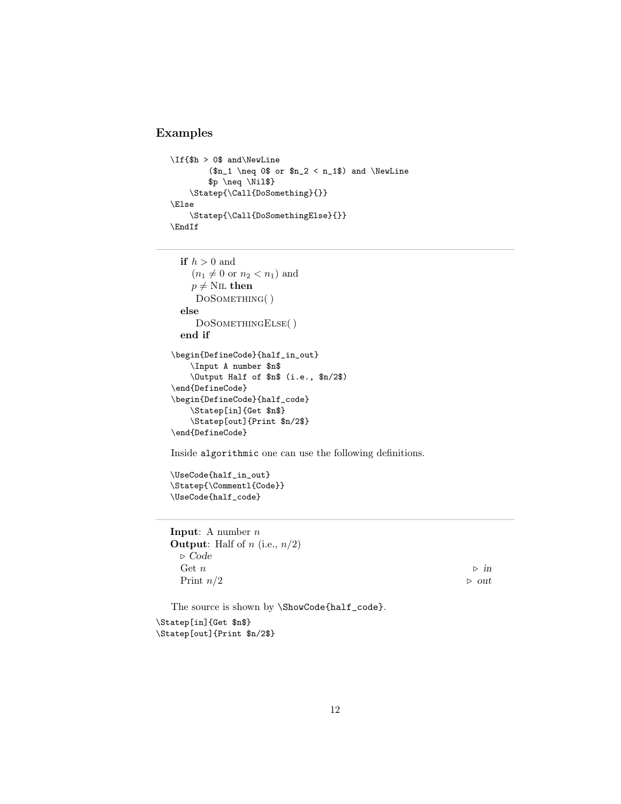### Examples

```
\If{$h > 0$ and\NewLine
        (\$n_1 \neq 0\ or n_2 < n_1\ and \NewLine
        $p \neq \Nil$}
   \Statep{\Call{DoSomething}{}}
\Else
   \Statep{\Call{DoSomethingElse}{}}
\EndIf
```

```
if h > 0 and
    (n_1 \neq 0 or n_2 < n_1) and
    p \neq N<sub>IL</sub> then
     DOSOMETHING()
  else
     DOSOMETHINGELSE()
  end if
\begin{DefineCode}{half_in_out}
    \Input A number $n$
    \Output Half of $n$ (i.e., $n/2$)
\end{DefineCode}
\begin{DefineCode}{half_code}
    \Statep[in]{Get $n$}
    \Statep[out]{Print $n/2$}
\end{DefineCode}
```
Inside algorithmic one can use the following definitions.

```
\UseCode{half_in_out}
\Statep{\Commentl{Code}}
\UseCode{half_code}
```

```
Input: A number nOutput: Half of n (i.e., n/2)
⊲ Code
 Get n \geq mPrint n/2 ⊳ out
```
The source is shown by \ShowCode{half\_code}. \Statep[in]{Get \$n\$}

\Statep[out]{Print \$n/2\$}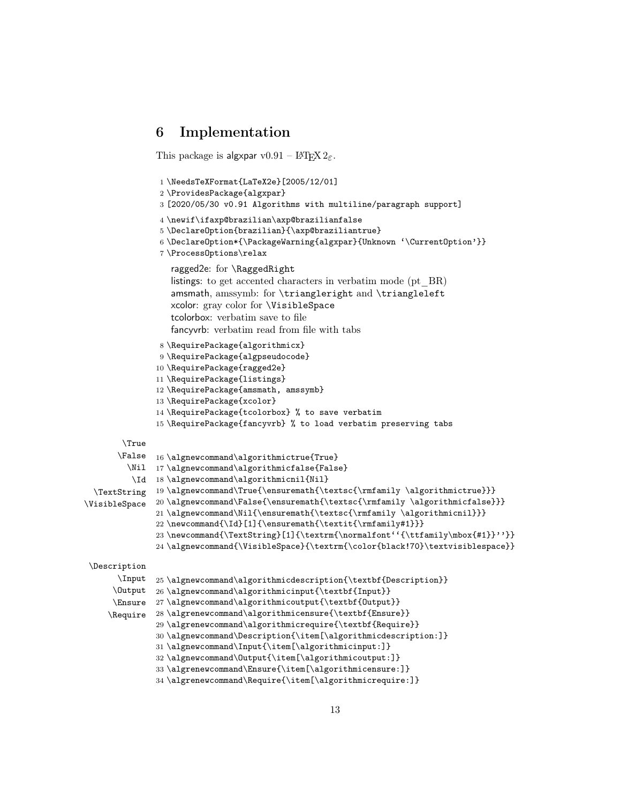## <span id="page-12-0"></span>6 Implementation

```
This package is algxpar v0.91 – LAT<sub>E</sub>X 2\varepsilon.
                1 \NeedsTeXFormat{LaTeX2e}[2005/12/01]
                2 \ProvidesPackage{algxpar}
                3 [2020/05/30 v0.91 Algorithms with multiline/paragraph support]
                4 \newif\ifaxp@brazilian\axp@brazilianfalse
                5 \DeclareOption{brazilian}{\axp@braziliantrue}
                6 \DeclareOption*{\PackageWarning{algxpar}{Unknown '\CurrentOption'}}
                7 \ProcessOptions\relax
                  ragged2e: for \RaggedRight
                  listings: to get accented characters in verbatim mode (pt BR)
                  amsmath, amssymb: for \triangleright and \triangleleft
                  xcolor: gray color for \VisibleSpace
                  tcolorbox: verbatim save to file
                  fancyvrb: verbatim read from file with tabs
                8 \RequirePackage{algorithmicx}
                9 \RequirePackage{algpseudocode}
               10 \RequirePackage{ragged2e}
               11 \RequirePackage{listings}
               12 \RequirePackage{amsmath, amssymb}
               13 \RequirePackage{xcolor}
               14 \RequirePackage{tcolorbox} % to save verbatim
               15 \RequirePackage{fancyvrb} % to load verbatim preserving tabs
        \True
       \False
16 \algnewcommand\algorithmictrue{True}
         \Nil
17 \algnewcommand\algorithmicfalse{False}
          \Id
18 \algnewcommand\algorithmicnil{Nil}
  \TextString
19 \algnewcommand\True{\ensuremath{\textsc{\rmfamily \algorithmictrue}}}
\VisibleSpace
               20 \algnewcommand\False{\ensuremath{\textsc{\rmfamily \algorithmicfalse}}}
               21 \algnewcommand\Nil{\ensuremath{\textsc{\rmfamily \algorithmicnil}}}
               22 \newcommand{\Id}[1]{\ensuremath{\textit{\rmfamily#1}}}
               23 \newcommand{\TextString}[1]{\textrm{\normalfont''{\ttfamily\mbox{#1}}''}}
               24 \algnewcommand{\VisibleSpace}{\textrm{\color{black!70}\textvisiblespace}}
 \Description
       \Input
      \Output
26 \algnewcommand\algorithmicinput{\textbf{Input}}
      \Ensure
27 \algnewcommand\algorithmicoutput{\textbf{Output}}
     \Require
28 \algrenewcommand\algorithmicensure{\textbf{Ensure}}
               25 \algnewcommand\algorithmicdescription{\textbf{Description}}
               29 \algrenewcommand\algorithmicrequire{\textbf{Require}}
               30 \algnewcommand\Description{\item[\algorithmicdescription:]}
               31 \algnewcommand\Input{\item[\algorithmicinput:]}
               32 \algnewcommand\Output{\item[\algorithmicoutput:]}
               33 \algrenewcommand\Ensure{\item[\algorithmicensure:]}
               34 \algrenewcommand\Require{\item[\algorithmicrequire:]}
```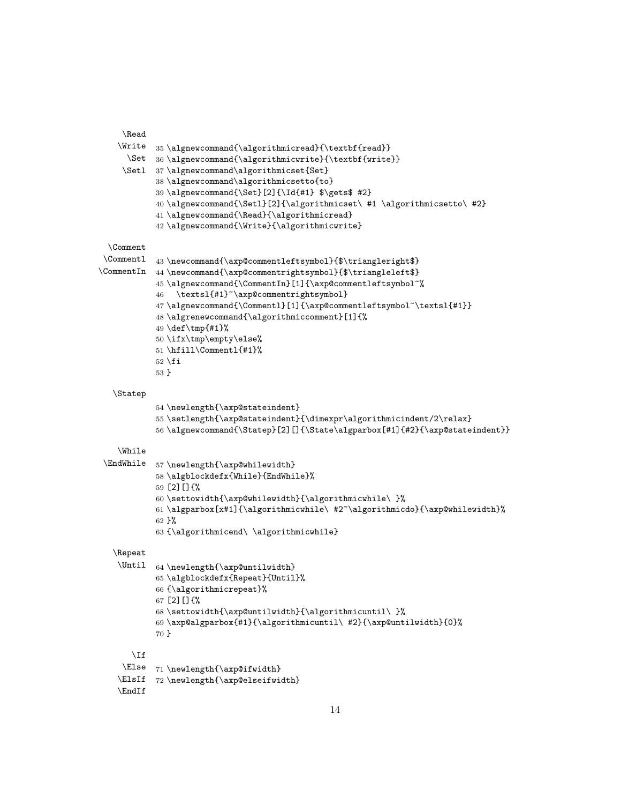```
\Read
    \Write
35 \algnewcommand{\algorithmicread}{\textbf{read}}
      \Set
36 \algnewcommand{\algorithmicwrite}{\textbf{write}}
     \Setl
37 \algnewcommand\algorithmicset{Set}
            38 \algnewcommand\algorithmicsetto{to}
            39 \algnewcommand{\Set}[2]{\Id{#1} $\gets$ #2}
            40 \algnewcommand{\Setl}[2]{\algorithmicset\ #1 \algorithmicsetto\ #2}
            41 \algnewcommand{\Read}{\algorithmicread}
            42 \algnewcommand{\Write}{\algorithmicwrite}
 \Comment
 \Commentl 43\newcommand{\axp@commentleftsymbol}{$\triangleright$}
\CommentIn 44 \newcommand{\axp@commentrightsymbol}{$\triangleleft$}
            45 \algnewcommand{\CommentIn}[1]{\axp@commentleftsymbol~%
            46 \textsl{#1}~\axp@commentrightsymbol}
            47 \algnewcommand{\Commentl}[1]{\axp@commentleftsymbol~\textsl{#1}}
            48 \algrenewcommand{\algorithmiccomment}[1]{%
            49 \def\tmp{#1}%
            50 \ifx\tmp\empty\else%
            51 \hfill\Commentl{#1}%
           52 \setminus fi53 }
  \Statep
            54 \newlength{\axp@stateindent}
            55 \setlength{\axp@stateindent} \dimexpr\algorithmicindent/2\relax}
            56 \algnewcommand{\Statep}[2][]{\State\algparbox[#1]{#2}{\axp@stateindent}}
    \While
\EndWhile 57 \newlength{\axp@whilewidth}
            58 \algblockdefx{While}{EndWhile}%
            59 [2][]{%
            60 \settowidth{\axp@whilewidth}{\algorithmicwhile\ }%
            61\algparbox[x#1]{\algorithmicwhile\ #2~\algorithmicdo}{\axp@whilewidth}%
            62 }%
            63 {\algorithmicend\ \algorithmicwhile}
  \Repeat
   \Until 64 \newlength{\axp@untilwidth}
            65 \algblockdefx{Repeat}{Until}%
            66 {\algorithmicrepeat}%
            67 [2][]{%
            68 \settowidth{\axp@untilwidth}{\algorithmicuntil\ }%
            69 \axp@algparbox{#1}{\algorithmicuntil\ #2}{\axp@untilwidth}{0}%
            70 }
      \If
     \Else
71 \newlength{\axp@ifwidth}
    \ElsIf
72 \newlength{\axp@elseifwidth}
   \EndIf
```

```
14
```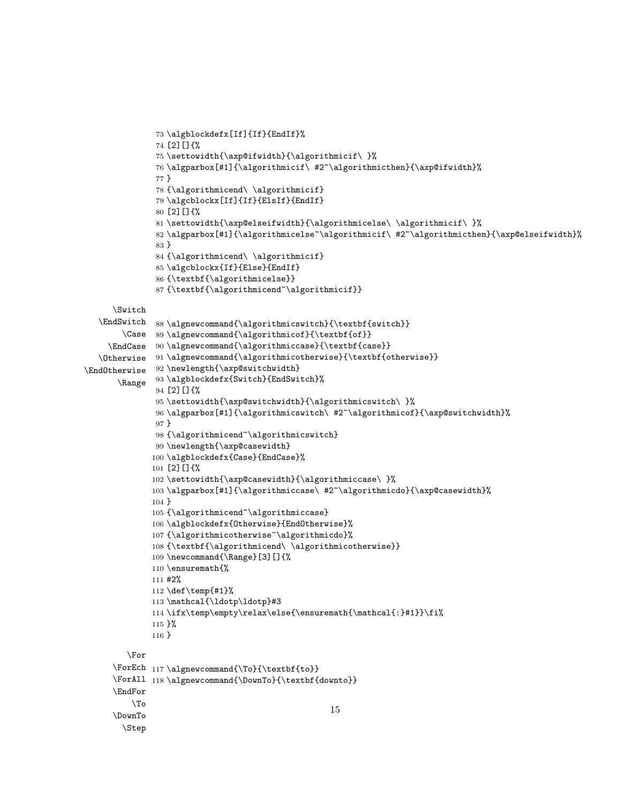```
73 \algblockdefx[If]{If}{EndIf}%
               74 [2][]{%
               75 \settowidth{\axp@ifwidth}{\algorithmicif\ }%
               76 \algparbox[#1]{\algorithmicif\ #2~\algorithmicthen}{\axp@ifwidth}%
               77 }
               78 {\algorithmicend\ \algorithmicif}
               79 \algcblockx[If]{If}{ElsIf}{EndIf}
               80 [2][]{%
               81 \settowidth{\axp@elseifwidth}{\algorithmicelse\ \algorithmicif\ }%
               82 \algparbox[#1]{\algorithmicelse~\algorithmicif\ #2~\algorithmicthen}{\axp@elseifwidth}%
               83 }
               84 {\algorithmicend\ \algorithmicif}
               85 \algcblockx{If}{Else}{EndIf}
               86 {\textbf{\algorithmicelse}}
               87 {\textbf{\algorithmicend~\algorithmicif}}
     \Switch
   \EndSwitch
88 \algnewcommand{\algorithmicswitch}{\textbf{switch}}
        \Case
89 \algnewcommand{\algorithmicof}{\textbf{of}}
     \EndCase
90 \algnewcommand{\algorithmiccase}{\textbf{case}}
   \Otherwise
91 \algnewcommand{\algorithmicotherwise}{\textbf{otherwise}}
\EndOtherwise
92 \newlength{\axp@switchwidth}
       \Range 93 \algblockdefx{Switch}{EndSwitch}%
               94 [2][]{%
               95 \settowidth{\axp@switchwidth}{\algorithmicswitch\ }%
               96 \algparbox[#1]{\algorithmicswitch\ #2~\algorithmicof}{\axp@switchwidth}%
               97 }
               98 {\algorithmicend~\algorithmicswitch}
               99 \newlength{\axp@casewidth}
              100 \algblockdefx{Case}{EndCase}%
              101 [2][]{%
              102 \settowidth{\axp@casewidth}{\algorithmiccase\ }%
              103 \algparbox[#1]{\algorithmiccase\ #2~\algorithmicdo}{\axp@casewidth}%
              104 }
              105 {\algorithmicend~\algorithmiccase}
              106 \algblockdefx{Otherwise}{EndOtherwise}%
              107 {\algorithmicotherwise~\algorithmicdo}%
              108 {\textbf{\algorithmicend\ \algorithmicotherwise}}
              109 \newcommand{\Range}[3][]{%
              110 \ensuremath{%
              111 #2%
              112 \def\temp{#1}%
              113 \mathcal{\ldotp\ldotp}#3
              114 \ifx\temp\empty\relax\else{\ensuremath{\mathcal{:}#1}}\fi%
              115 }%
              116 }
        \For
      \ForEch
117 \algnewcommand{\To}{\textbf{to}}
      \ForAll
118 \algnewcommand{\DownTo}{\textbf{downto}}
     \EndFor
         \Gamma\DownTo
        \Step
                                                     15
```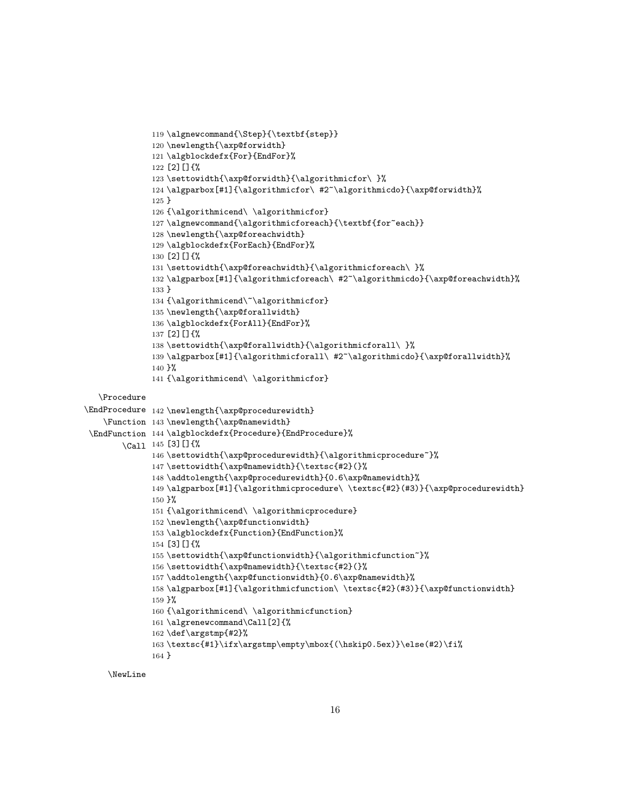```
119 \algnewcommand{\Step}{\textbf{step}}
              120 \newlength{\axp@forwidth}
              121 \algblockdefx{For}{EndFor}%
              122 [2][]{%
              123 \settowidth{\axp@forwidth}{\algorithmicfor\ }%
              124 \algparbox[#1]{\algorithmicfor\ #2~\algorithmicdo}{\axp@forwidth}%
              125 }
              126 {\algorithmicend\ \algorithmicfor}
              127 \algnewcommand{\algorithmicforeach}{\textbf{for~each}}
              128 \newlength{\axp@foreachwidth}
              129 \algblockdefx{ForEach}{EndFor}%
              130 [2] []\{%
              131 \settowidth{\axp@foreachwidth}{\algorithmicforeach\ }%
              132 \algparbox[#1]{\algorithmicforeach\ #2~\algorithmicdo}{\axp@foreachwidth}%
              133 }
              134 {\algorithmicend\~\algorithmicfor}
              135 \newlength{\axp@forallwidth}
              136 \algblockdefx{ForAll}{EndFor}%
              137 [2][]{%
              138 \settowidth{\axp@forallwidth}{\algorithmicforall\ }%
              139 \algparbox[#1]{\algorithmicforall\ #2~\algorithmicdo}{\axp@forallwidth}%
              140 }%
              141 {\algorithmicend\ \algorithmicfor}
  \Procedure
\EndProcedure 142 \newlength{\axp@procedurewidth}
    \Function
143 \newlength{\axp@namewidth}
 \EndFunction
144 \algblockdefx{Procedure}{EndProcedure}%
        \Call
145 [3][]{%
              146 \settowidth{\axp@procedurewidth}{\algorithmicprocedure~}%
              147 \settowidth{\axp@namewidth}{\textsc{#2}(}%
              148 \addtolength{\axp@procedurewidth}{0.6\axp@namewidth}%
              149 \algparbox[#1]{\algorithmicprocedure\ \textsc{#2}(#3)}{\axp@procedurewidth}
              150 }%
              151 {\algorithmicend\ \algorithmicprocedure}
              152 \newlength{\axp@functionwidth}
              153 \algblockdefx{Function}{EndFunction}%
              154 [3][]{%
              155 \settowidth{\axp@functionwidth}{\algorithmicfunction~}%
              156 \settowidth{\axp@namewidth}{\textsc{#2}(}%
              157 \addtolength{\axp@functionwidth}{0.6\axp@namewidth}%
              158 \algparbox[#1]{\algorithmicfunction\ \textsc{#2}(#3)}{\axp@functionwidth}
              159 }%
              160 {\algorithmicend\ \algorithmicfunction}
              161 \algrenewcommand\Call[2]{%
              162 \def\argstmp{#2}%
              163 \textsc{#1}\ifx\argstmp\empty\mbox{(\hskip0.5ex)}\else(#2)\fi%
              164 }
```
\NewLine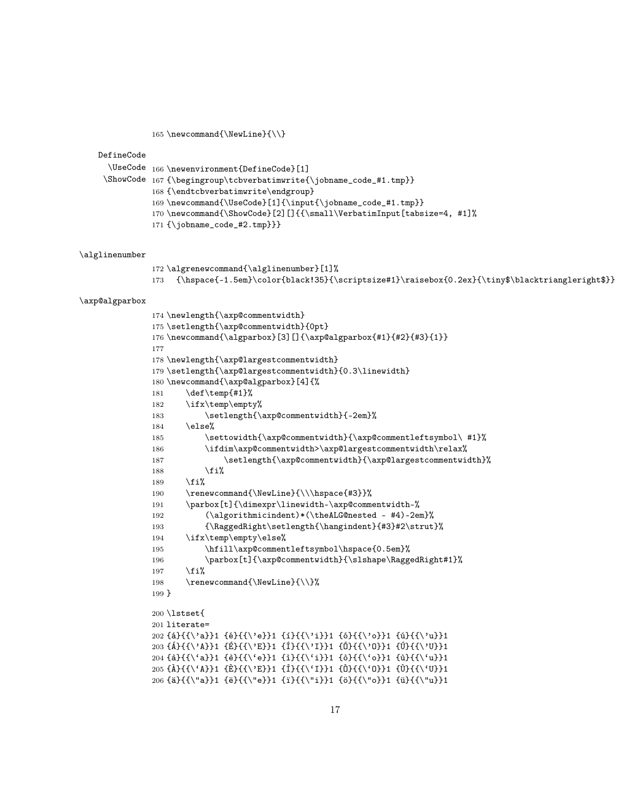165\newcommand{\NewLine}{\\}

DefineCode

```
\UseCode
166 \newenvironment{DefineCode}[1]
```

```
\ShowCode 167{\begingroup\tcbverbatimwrite{\jobname_code_#1.tmp}}
```
168 {\endtcbverbatimwrite\endgroup}

- 169 \newcommand{\UseCode}[1]{\input{\jobname\_code\_#1.tmp}}
- 170 \newcommand{\ShowCode}[2][]{{\small\VerbatimInput[tabsize=4, #1]%
- 171 {\jobname\_code\_#2.tmp}}}

#### \alglinenumber

```
172 \algrenewcommand{\alglinenumber}[1]%
173 {\hspace{-1.5em}\color{black!35}{\scriptsize#1}\raisebox{0.2ex}{\tiny$\blacktriangleright$}}
```
#### \axp@algparbox

```
174 \newlength{\axp@commentwidth}
175 \setlength{\axp@commentwidth}{0pt}
176 \newcommand{\algparbox}[3][]{\axp@algparbox{#1}{#2}{#3}{1}}
177
178 \newlength{\axp@largestcommentwidth}
179 \setlength{\axp@largestcommentwidth}{0.3\linewidth}
180 \newcommand{\axp@algparbox}[4]{%
181 \def\temp{#1}%
182 \ifx\temp\empty%
183 \setlength{\axp@commentwidth}{-2em}%
184 \else%
185 \settowidth{\axp@commentwidth}{\axp@commentleftsymbol\ #1}%
186 \ifdim\axp@commentwidth>\axp@largestcommentwidth\relax%
187 \setlength{\axp@commentwidth}{\axp@largestcommentwidth}%
188 \overrightarrow{188}189 \{f_i\}190 \renewcommand{\NewLine}{\\\hspace{#3}}%
191 \parbox[t]{\dimexpr\linewidth-\axp@commentwidth-%
192 (\algorithmicindent)*(\theALG@nested - #4)-2em}%
193 {\RaggedRight\setlength{\hangindent}{#3}#2\strut}%
194 \ifx\temp\empty\else%
195 \hfill\axp@commentleftsymbol\hspace{0.5em}%
196 \parbox[t]{\axp@commentwidth}{\slshape\RaggedRight#1}%
197 \overline{\text{if}}198 \renewcommand{\NewLine}{\\}%
199 }
200 \lstset{
201 literate=
202 {á}{{\'a}}1 {é}{{\'e}}1 {í}{{\'i}}1 {ó}{{\'o}}1 {ú}{{\'u}}1
203 {Á}{{\'A}}1 {É}{{\'E}}1 {Í}{{\'I}}1 {Ó}{{\'O}}1 {Ú}{{\'U}}1
204 {à}{{\'a}}1 {è}{{\'e}}1 {ì}{{\'i}}1 {ò}{{\'o}}1 {ù}{{\'u}}1
205 {À}{{\'A}}1 {È}{{\'E}}1 {Ì}{{\'I}}1 {Ò}{{\'O}}1 {Ù}{{\'U}}1
206 {ä}{{\"a}}1 {ë}{{\"e}}1 {ï}{{\"i}}1 {ö}{{\"o}}1 {ü}{{\"u}}1
```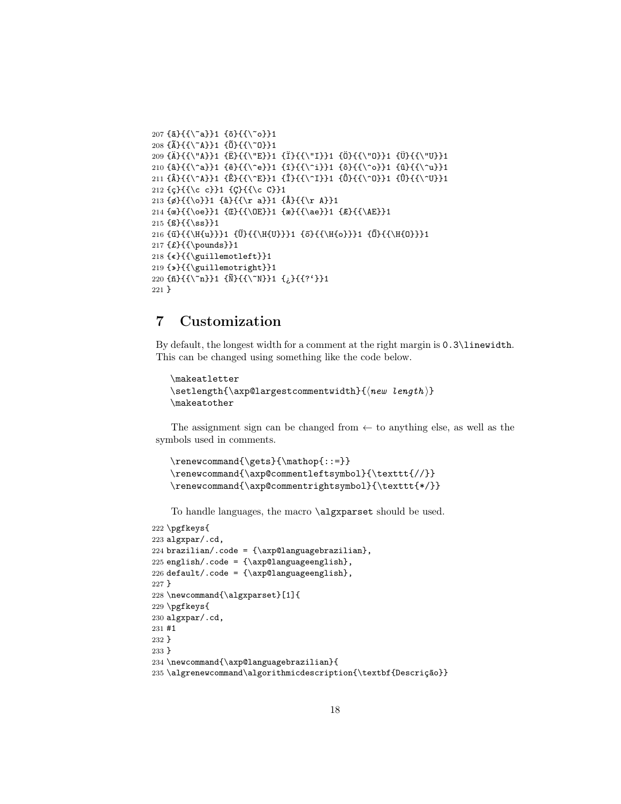```
207 \{a\}\{\{\\a\}\}\1 \{5\}\{\{\\c\}\}208 {Ã}{{\~A}}1 {Õ}{{\~O}}1
209 {Ä}{{\"A}}1 {Ë}{{\"E}}1 {Ï}{{\"I}}1 {Ö}{{\"O}}1 {Ü}{{\"U}}1
210 {â}{{\^a}}1 {ê}{{\^e}}1 {î}{{\^i}}1 {ô}{{\^o}}1 {û}{{\^u}}1
211 {Â}{{\^A}}1 {Ê}{{\^E}}1 {Î}{{\^I}}1 {Ô}{{\^O}}1 {Û}{{\^U}}1
212 {ç}{{\c c}}1 {Ç}{{\c C}}1
213 {ø}{{\o}}1 {å}{{\r a}}1 {Å}{{\r A}}1
214 {œ}{{\oe}}1 {Œ}{{\OE}}1 {æ}{{\ae}}1 {Æ}{{\AE}}1
215 {ß}{{\ss}}1
216 {ű}{{\H{u}}}1 {Ű}{{\H{U}}}1 {ő}{{\H{o}}}1 {Ő}{{\H{O}}}1
217 {£}{{\pounds}}1
218 {«}{{\guillemotleft}}1
219 {»}{{\guillemotright}}1
220 {ñ}{{\~n}}1 {Ñ}{{\~N}}1 {¿}{{?'}}1
221 }
```
# <span id="page-17-0"></span>7 Customization

By default, the longest width for a comment at the right margin is 0.3\linewidth. This can be changed using something like the code below.

```
\makeatletter
\setminus \setminus \{\text{array}(\makeatother
```
The assignment sign can be changed from  $\leftarrow$  to anything else, as well as the symbols used in comments.

```
\renewcommand{\gets}{\mathop{::=}}
\renewcommand{\axp@commentleftsymbol}{\texttt{//}}
\renewcommand{\axp@commentrightsymbol}{\texttt{*/}}
```
To handle languages, the macro \algxparset should be used.

```
222 \pgfkeys{
223 algxpar/.cd,
224 brazilian/.code = {\xpi}{\arg \alpha},
225 english/.code = {\xrightarrow{\argUangeemglish}},
226 default/.code = {\x^{226} default/.code = {\x^{26}227 }
228 \newcommand{\algxparset}[1]{
229 \pgfkeys{
230 algxpar/.cd,
231 #1
232 }
233 }
234 \newcommand{\axp@languagebrazilian}{
235 \algrenewcommand\algorithmicdescription{\textbf{Descrição}}
```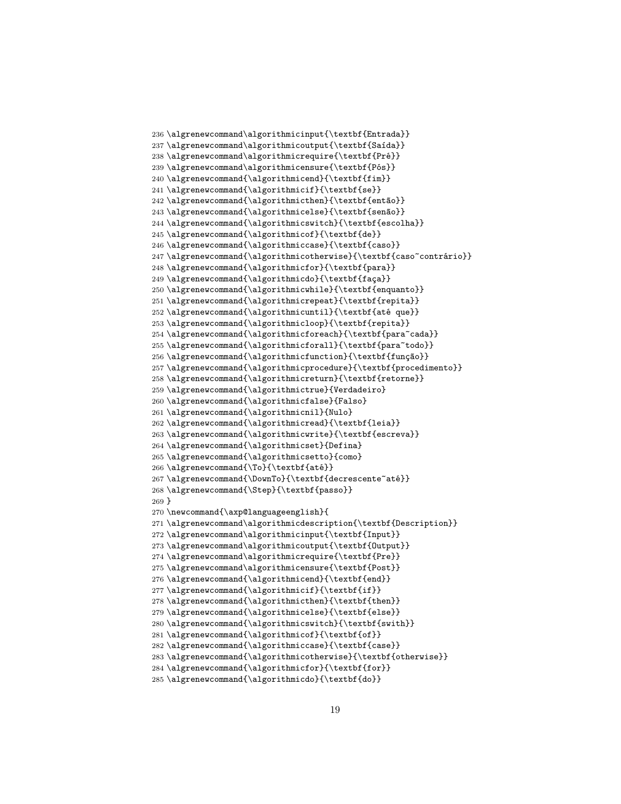```
236 \algrenewcommand\algorithmicinput{\textbf{Entrada}}
237 \algrenewcommand\algorithmicoutput{\textbf{Saída}}
238 \algrenewcommand\algorithmicrequire{\textbf{Pré}}
239 \algrenewcommand\algorithmicensure{\textbf{Pós}}
240 \algrenewcommand{\algorithmicend}{\textbf{fim}}
241 \algrenewcommand{\algorithmicif}{\textbf{se}}
242 \algrenewcommand{\algorithmicthen}{\textbf{então}}
243 \algrenewcommand{\algorithmicelse}{\textbf{senão}}
244 \algrenewcommand{\algorithmicswitch}{\textbf{escolha}}
245 \algrenewcommand{\algorithmicof}{\textbf{de}}
246 \algrenewcommand{\algorithmiccase}{\textbf{caso}}
247 \algrenewcommand{\algorithmicotherwise}{\textbf{caso~contrário}}
248 \algrenewcommand{\algorithmicfor}{\textbf{para}}
249 \algrenewcommand{\algorithmicdo}{\textbf{faça}}
250 \algrenewcommand{\algorithmicwhile}{\textbf{enquanto}}
251 \algrenewcommand{\algorithmicrepeat}{\textbf{repita}}
252 \algrenewcommand{\algorithmicuntil}{\textbf{até que}}
253 \algrenewcommand{\algorithmicloop}{\textbf{repita}}
254 \algrenewcommand{\algorithmicforeach}{\textbf{para~cada}}
255 \algrenewcommand{\algorithmicforall}{\textbf{para~todo}}
256 \algrenewcommand{\algorithmicfunction}{\textbf{função}}
257 \algrenewcommand{\algorithmicprocedure}{\textbf{procedimento}}
258 \algrenewcommand{\algorithmicreturn}{\textbf{retorne}}
259 \algrenewcommand{\algorithmictrue}{Verdadeiro}
260 \algrenewcommand{\algorithmicfalse}{Falso}
261 \algrenewcommand{\algorithmicnil}{Nulo}
262 \algrenewcommand{\algorithmicread}{\textbf{leia}}
263 \algrenewcommand{\algorithmicwrite}{\textbf{escreva}}
264 \algrenewcommand{\algorithmicset}{Defina}
265 \algrenewcommand{\algorithmicsetto}{como}
266 \algrenewcommand{\To}{\textbf{até}}
267 \algrenewcommand{\DownTo}{\textbf{decrescente~até}}
268 \algrenewcommand{\Step}{\textbf{passo}}
269 }
270 \newcommand{\axp@languageenglish}{
271 \algrenewcommand\algorithmicdescription{\textbf{Description}}
272 \algrenewcommand\algorithmicinput{\textbf{Input}}
273 \algrenewcommand\algorithmicoutput{\textbf{Output}}
274 \algrenewcommand\algorithmicrequire{\textbf{Pre}}
275 \algrenewcommand\algorithmicensure{\textbf{Post}}
276 \algrenewcommand{\algorithmicend}{\textbf{end}}
277 \algrenewcommand{\algorithmicif}{\textbf{if}}
278 \algrenewcommand{\algorithmicthen}{\textbf{then}}
279 \algrenewcommand{\algorithmicelse}{\textbf{else}}
280 \algrenewcommand{\algorithmicswitch}{\textbf{swith}}
281 \algrenewcommand{\algorithmicof}{\textbf{of}}
282 \algrenewcommand{\algorithmiccase}{\textbf{case}}
283 \algrenewcommand{\algorithmicotherwise}{\textbf{otherwise}}
284 \algrenewcommand{\algorithmicfor}{\textbf{for}}
285 \algrenewcommand{\algorithmicdo}{\textbf{do}}
```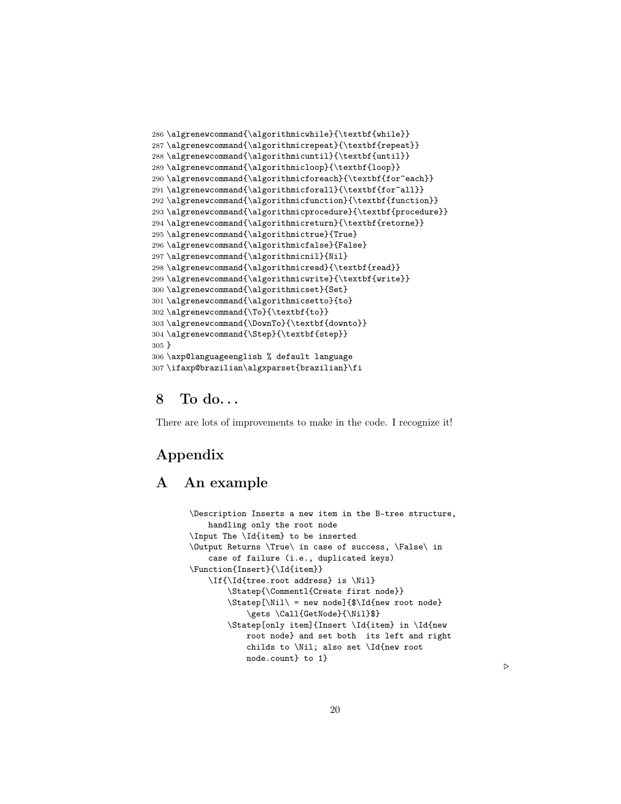```
286 \algrenewcommand{\algorithmicwhile}{\textbf{while}}
287 \algrenewcommand{\algorithmicrepeat}{\textbf{repeat}}
288 \verb|\algorithmicuntil]{\textbf{until}|}289 \algrenewcommand{\algorithmicloop}{\textbf{loop}}
290 \algrenewcommand{\algorithmicforeach}{\textbf{for~each}}
291 \algrenewcommand{\algorithmicforall}{\textbf{for~all}}
292 \algrenewcommand{\algorithmicfunction}{\textbf{function}}
293 \algrenewcommand{\algorithmicprocedure}{\textbf{procedure}}
294 \verb|\algorithmicreturn| {\verb|textbf{retone}|}295 \algrenewcommand{\algorithmictrue}{True}
296 \algrenewcommand{\algorithmicfalse}{False}
297 \algrenewcommand{\algorithmicnil}{Nil}
298 \algrenewcommand{\algorithmicread}{\textbf{read}}
299 \algrenewcommand{\algorithmicwrite}{\textbf{write}}
300 \algrenewcommand{\algorithmicset}{Set}
301 \algrenewcommand{\algorithmicsetto}{to}
302 \algrenewcommand{\To}{\textbf{to}}
303 \algrenewcommand{\DownTo}{\textbf{downto}}
304 \algrenewcommand{\Step}{\textbf{step}}
305 }
306 \axp@languageenglish % default language
307 \ifaxp@brazilian\algxparset{brazilian}\fi
```
## <span id="page-19-0"></span> $8$  To do...

There are lots of improvements to make in the code. I recognize it!

# <span id="page-19-1"></span>Appendix

### A An example

```
\Description Inserts a new item in the B-tree structure,
    handling only the root node
\Input The \Id{item} to be inserted
\Output Returns \True\ in case of success, \False\ in
    case of failure (i.e., duplicated keys)
\Function{Insert}{\Id{item}}
    \If{\Id{tree.root address} is \Nil}
        \Statep{\Commentl{Create first node}}
        \Statep[\Nil\ = new node]{$\Id{new root node}
            \gets \Call{GetNode}{\Nil}$}
        \Statep[only item]{Insert \Id{item} in \Id{new
            root node} and set both its left and right
            childs to \Nil; also set \Id{new root
            node.count} to 1}
```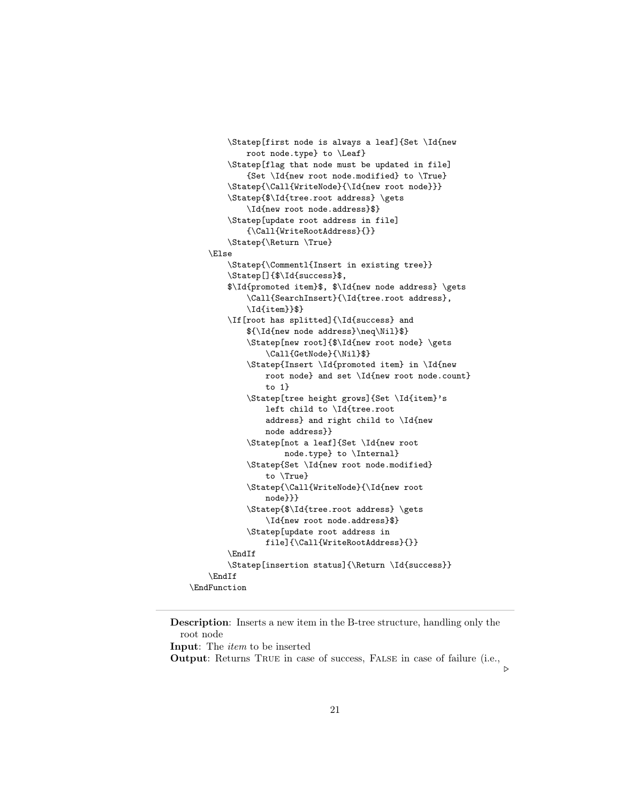```
\Statep[first node is always a leaf]{Set \Id{new
            root node.type} to \Leaf}
        \Statep[flag that node must be updated in file]
            {Set \Id{new root node.modified} to \True}
        \Statep{\Call{WriteNode}{\Id{new root node}}}
        \Statep{$\Id{tree.root address} \gets
            \Id{new root node.address}$}
        \Statep[update root address in file]
            {\Call{WriteRootAddress}{}}
        \Statep{\Return \True}
    \Else
        \Statep{\Commentl{Insert in existing tree}}
        \Statep[]{$\Id{success}$,
        $\Id{promoted item}$, $\Id{new node address} \gets
            \Call{SearchInsert}{\Id{tree.root address},
            \Id{item}}$}
        \If[root has splitted]{\Id{success} and
            ${\Id{new node address}\neq\Nil}$}
            \Statep[new root]{$\Id{new root node} \gets
                \Call{GetNode}{\Nil}$}
            \Statep{Insert \Id{promoted item} in \Id{new
                root node} and set \Id{new root node.count}
                to 1}
            \Statep[tree height grows]{Set \Id{item}'s
                left child to \Id{tree.root
                address} and right child to \Id{new
                node address}}
            \Statep[not a leaf]{Set \Id{new root
                    node.type} to \Internal}
            \Statep{Set \Id{new root node.modified}
                to \True}
            \Statep{\Call{WriteNode}{\Id{new root
                node}}}
            \Statep{$\Id{tree.root address} \gets
                \Id{new root node.address}$}
            \Statep[update root address in
                file]{\Call{WriteRootAddress}{}}
        \EndIf
        \Statep[insertion status]{\Return \Id{success}}
    \EndIf
\EndFunction
```
Description: Inserts a new item in the B-tree structure, handling only the root node Input: The item to be inserted Output: Returns True in case of success, False in case of failure (i.e.,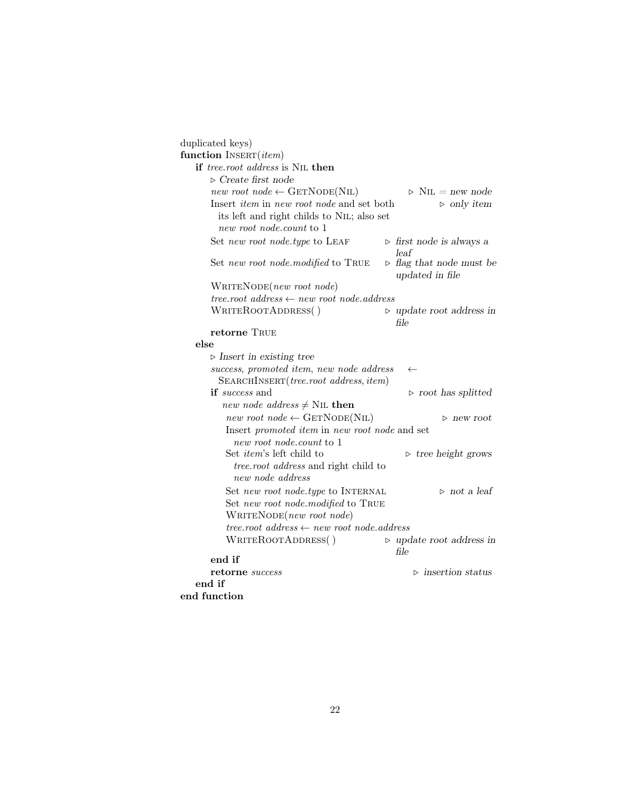| duplicated keys)                                              |                                                                    |
|---------------------------------------------------------------|--------------------------------------------------------------------|
| function INSERT(item)                                         |                                                                    |
| if tree.root address is NIL then                              |                                                                    |
| $\triangleright$ Create first node                            |                                                                    |
| $new\ root\ node \leftarrow \text{GETNode}(\text{NIL})$       | $\triangleright$ N <sub>IL</sub> = new node                        |
| Insert <i>item</i> in <i>new root node</i> and set both       | $\triangleright$ only item                                         |
| its left and right childs to NIL; also set                    |                                                                    |
| new root node.count to 1                                      |                                                                    |
| Set new root node.type to LEAF                                | $\triangleright$ first node is always a                            |
| Set new root node.modified to TRUE                            | leaf<br>$\triangleright$ flag that node must be<br>updated in file |
| $\text{WRITENODE}(new\ root\ node)$                           |                                                                    |
| tree.root address $\leftarrow$ new root node.address          |                                                                    |
| WRITEROOTADDRESS()                                            | $\triangleright$ update root address in<br>file                    |
| retorne TRUE                                                  |                                                                    |
| else                                                          |                                                                    |
| $\triangleright$ Insert in existing tree                      |                                                                    |
| success, promoted item, new node address                      | $\leftarrow$                                                       |
| SEARCHINSERT ( <i>tree.root address, item</i> )               |                                                                    |
| <b>if</b> success and                                         | $\triangleright$ root has splitted                                 |
| <i>new node address</i> $\neq$ NIL then                       |                                                                    |
| new root node $\leftarrow$ GETNODE(NIL)                       | $>$ new root                                                       |
| Insert promoted item in new root node and set                 |                                                                    |
| new root node.count to 1                                      |                                                                    |
| Set <i>item</i> 's left child to                              | $\triangleright$ tree height grows                                 |
| <i>tree.root address</i> and right child to                   |                                                                    |
| new node address                                              |                                                                    |
| Set new root node.type to INTERNAL                            | $\triangleright$ not a leaf                                        |
| Set new root node.modified to TRUE                            |                                                                    |
| $\text{WRITENode}(new\ root\ node)$                           |                                                                    |
| $tree-root \; address \leftarrow new \; root \; node.address$ |                                                                    |
| WRITEROOTADDRESS()                                            | $\triangleright$ update root address in<br>file                    |
| end if                                                        |                                                                    |
| $\bf{retorne} \ success$                                      | $\triangleright$ insertion status                                  |
| end if                                                        |                                                                    |
| end function                                                  |                                                                    |